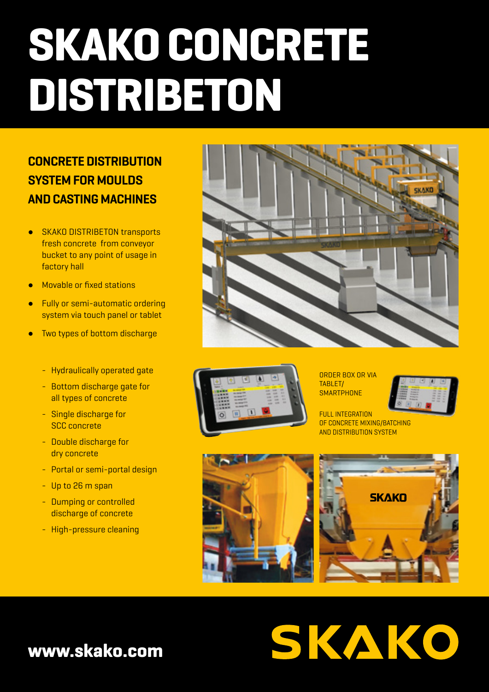# **SKAKO CONCRETE DISTRIBETON**

#### **CONCRETE DISTRIBUTION SYSTEM FOR MOULDS AND CASTING MACHINES**

- SKAKO DISTRIBETON transports fresh concrete from conveyor bucket to any point of usage in factory hall
- Movable or fixed stations
- **Fully or semi-automatic ordering** system via touch panel or tablet
- Two types of bottom discharge
	- Hydraulically operated gate
	- Bottom discharge gate for all types of concrete
	- Single discharge for SCC concrete
	- Double discharge for dry concrete
	- Portal or semi-portal design
	- Up to 26 m span
	- Dumping or controlled discharge of concrete
	- High-pressure cleaning





ORDER BOX OR VIA TABI FT/ **SMARTPHONE** 



FULL INTEGRATION OF CONCRETE MIXING/BATCHING AND DISTRIBUTION SYSTEM

SKAKO





#### **www.skako.com**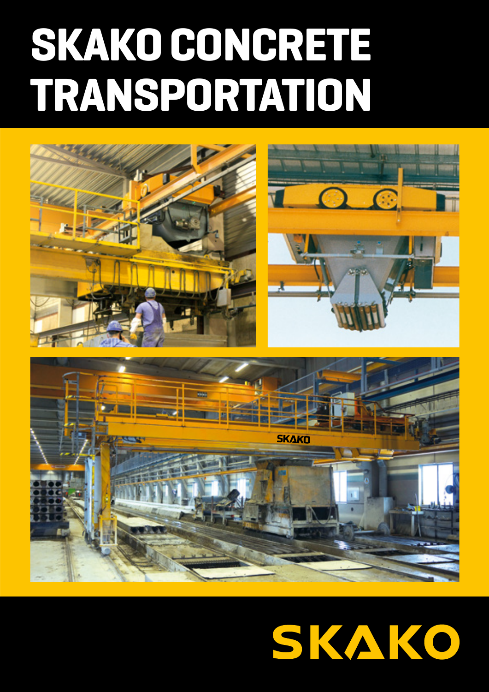## **SKAKO CONCRETE TRANSPORTATION**



### SKAKO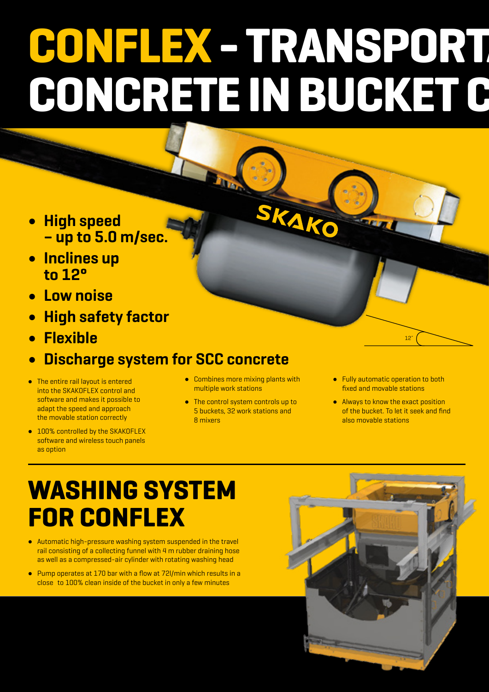# **CONFLEX - TRANSPORTA** CONCRETE IN BUCKET C

KAKO

- **High speed – up to 5.0 m/sec.**
- **Inclines up to 12°**
- **Low noise**
- **High safety factor**
- **Flexible**
- **Discharge system for SCC concrete**
- The entire rail layout is entered into the SKAKOFLEX control and software and makes it possible to adapt the speed and approach the movable station correctly
- 100% controlled by the SKAKOFLEX software and wireless touch panels as option
- Combines more mixing plants with multiple work stations
- The control system controls up to 5 buckets, 32 work stations and 8 mixers
- Fully automatic operation to both fixed and movable stations

12˚

● Always to know the exact position of the bucket. To let it seek and find also movable stations

#### **WASHING SYSTEM FOR CONFLEX**

- Automatic high-pressure washing system suspended in the travel rail consisting of a collecting funnel with 4 m rubber draining hose as well as a compressed-air cylinder with rotating washing head
- Pump operates at 170 bar with a flow at 72l/min which results in a close to 100% clean inside of the bucket in only a few minutes